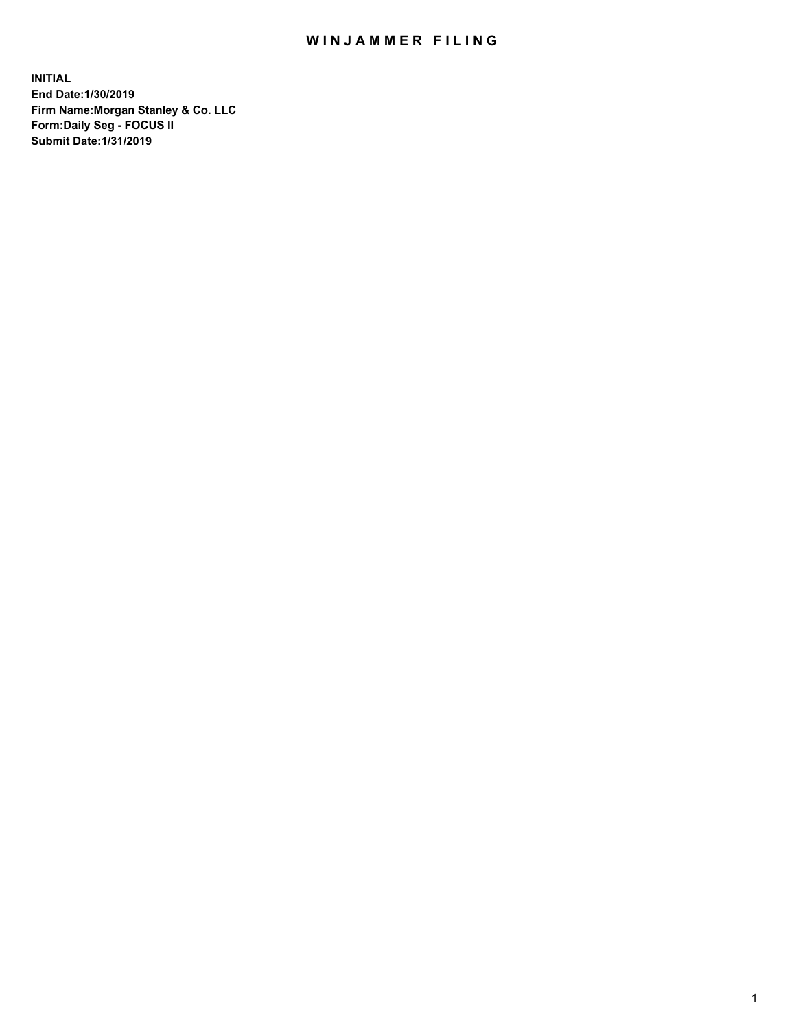## WIN JAMMER FILING

**INITIAL End Date:1/30/2019 Firm Name:Morgan Stanley & Co. LLC Form:Daily Seg - FOCUS II Submit Date:1/31/2019**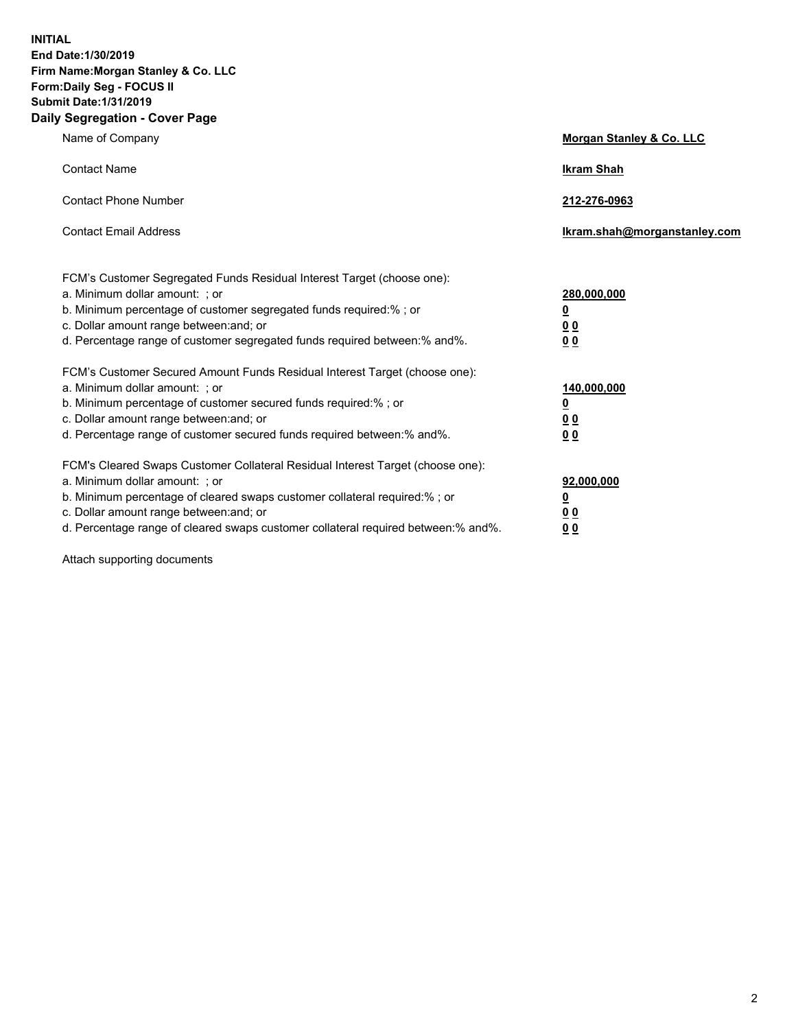**INITIAL End Date:1/30/2019 Firm Name:Morgan Stanley & Co. LLC Form:Daily Seg - FOCUS II Submit Date:1/31/2019 Daily Segregation - Cover Page**

| Name of Company                                                                   | Morgan Stanley & Co. LLC     |
|-----------------------------------------------------------------------------------|------------------------------|
| <b>Contact Name</b>                                                               | <b>Ikram Shah</b>            |
| <b>Contact Phone Number</b>                                                       | 212-276-0963                 |
| <b>Contact Email Address</b>                                                      | Ikram.shah@morganstanley.com |
| FCM's Customer Segregated Funds Residual Interest Target (choose one):            |                              |
| a. Minimum dollar amount: ; or                                                    | 280,000,000                  |
| b. Minimum percentage of customer segregated funds required:% ; or                | <u>0</u>                     |
| c. Dollar amount range between: and; or                                           | <u>0 0</u>                   |
| d. Percentage range of customer segregated funds required between: % and %.       | 0 Q                          |
| FCM's Customer Secured Amount Funds Residual Interest Target (choose one):        |                              |
| a. Minimum dollar amount: ; or                                                    | 140,000,000                  |
| b. Minimum percentage of customer secured funds required:%; or                    | <u>0</u>                     |
| c. Dollar amount range between: and; or                                           | 0 <sub>0</sub>               |
| d. Percentage range of customer secured funds required between:% and%.            | 0 <sub>0</sub>               |
| FCM's Cleared Swaps Customer Collateral Residual Interest Target (choose one):    |                              |
| a. Minimum dollar amount: ; or                                                    | 92,000,000                   |
| b. Minimum percentage of cleared swaps customer collateral required:% ; or        | <u>0</u>                     |
| c. Dollar amount range between: and; or                                           | 0 Q                          |
| d. Percentage range of cleared swaps customer collateral required between:% and%. | 00                           |

Attach supporting documents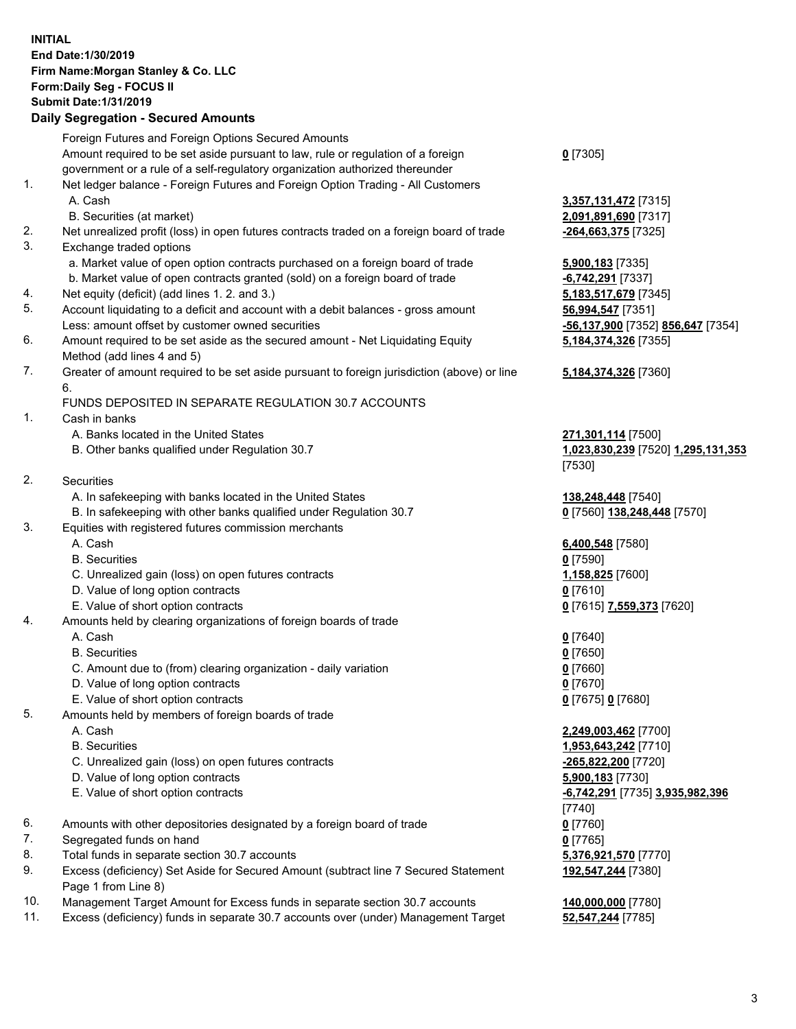## **INITIAL End Date:1/30/2019 Firm Name:Morgan Stanley & Co. LLC Form:Daily Seg - FOCUS II Submit Date:1/31/2019**

## **Daily Segregation - Secured Amounts**

Foreign Futures and Foreign Options Secured Amounts Amount required to be set aside pursuant to law, rule or regulation of a foreign government or a rule of a self-regulatory organization authorized thereunder 1. Net ledger balance - Foreign Futures and Foreign Option Trading - All Customers A. Cash **3,357,131,472** [7315] B. Securities (at market) **2,091,891,690** [7317] 2. Net unrealized profit (loss) in open futures contracts traded on a foreign board of trade **-264,663,375** [7325] 3. Exchange traded options a. Market value of open option contracts purchased on a foreign board of trade **5,900,183** [7335] b. Market value of open contracts granted (sold) on a foreign board of trade **-6,742,291** [7337] 4. Net equity (deficit) (add lines 1. 2. and 3.) **5,183,517,679** [7345] 5. Account liquidating to a deficit and account with a debit balances - gross amount **56,994,547** [7351] Less: amount offset by customer owned securities **-56,137,900** [7352] **856,647** [7354] 6. Amount required to be set aside as the secured amount - Net Liquidating Equity Method (add lines 4 and 5) 7. Greater of amount required to be set aside pursuant to foreign jurisdiction (above) or line 6. FUNDS DEPOSITED IN SEPARATE REGULATION 30.7 ACCOUNTS 1. Cash in banks A. Banks located in the United States **271,301,114** [7500] B. Other banks qualified under Regulation 30.7 **1,023,830,239** [7520] **1,295,131,353** 2. Securities A. In safekeeping with banks located in the United States **138,248,448** [7540] B. In safekeeping with other banks qualified under Regulation 30.7 **0** [7560] **138,248,448** [7570] 3. Equities with registered futures commission merchants A. Cash **6,400,548** [7580] B. Securities **0** [7590] C. Unrealized gain (loss) on open futures contracts **1,158,825** [7600] D. Value of long option contracts **0** [7610] E. Value of short option contracts **0** [7615] **7,559,373** [7620] 4. Amounts held by clearing organizations of foreign boards of trade A. Cash **0** [7640] B. Securities **0** [7650] C. Amount due to (from) clearing organization - daily variation **0** [7660] D. Value of long option contracts **0** [7670] E. Value of short option contracts **0** [7675] **0** [7680] 5. Amounts held by members of foreign boards of trade A. Cash **2,249,003,462** [7700] B. Securities **1,953,643,242** [7710] C. Unrealized gain (loss) on open futures contracts **-265,822,200** [7720] D. Value of long option contracts **5,900,183** [7730] E. Value of short option contracts **-6,742,291** [7735] **3,935,982,396** 6. Amounts with other depositories designated by a foreign board of trade **0** [7760] 7. Segregated funds on hand **0** [7765] 8. Total funds in separate section 30.7 accounts **5,376,921,570** [7770] 9. Excess (deficiency) Set Aside for Secured Amount (subtract line 7 Secured Statement Page 1 from Line 8)

- 10. Management Target Amount for Excess funds in separate section 30.7 accounts **140,000,000** [7780]
- 11. Excess (deficiency) funds in separate 30.7 accounts over (under) Management Target **52,547,244** [7785]

**0** [7305]

**5,184,374,326** [7355]

## **5,184,374,326** [7360]

[7530]

[7740] **192,547,244** [7380]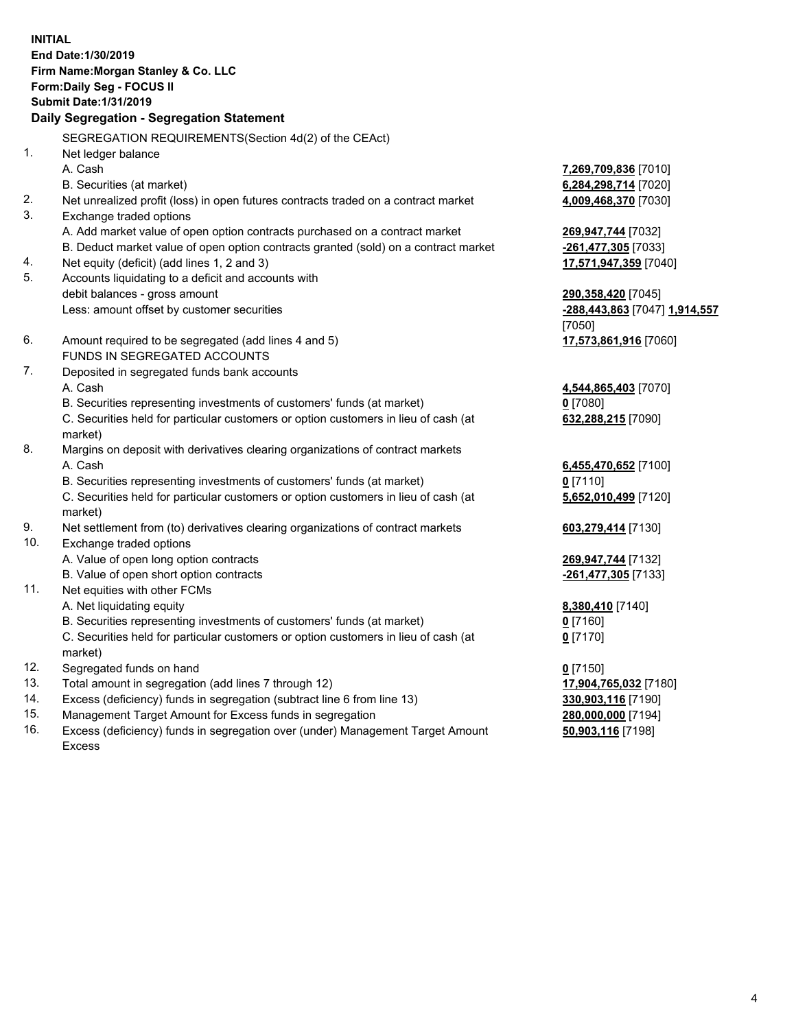**INITIAL End Date:1/30/2019 Firm Name:Morgan Stanley & Co. LLC Form:Daily Seg - FOCUS II Submit Date:1/31/2019 Daily Segregation - Segregation Statement** SEGREGATION REQUIREMENTS(Section 4d(2) of the CEAct) 1. Net ledger balance A. Cash **7,269,709,836** [7010] B. Securities (at market) **6,284,298,714** [7020] 2. Net unrealized profit (loss) in open futures contracts traded on a contract market **4,009,468,370** [7030] 3. Exchange traded options A. Add market value of open option contracts purchased on a contract market **269,947,744** [7032] B. Deduct market value of open option contracts granted (sold) on a contract market **-261,477,305** [7033] 4. Net equity (deficit) (add lines 1, 2 and 3) **17,571,947,359** [7040] 5. Accounts liquidating to a deficit and accounts with debit balances - gross amount **290,358,420** [7045] Less: amount offset by customer securities **-288,443,863** [7047] **1,914,557** [7050] 6. Amount required to be segregated (add lines 4 and 5) **17,573,861,916** [7060] FUNDS IN SEGREGATED ACCOUNTS 7. Deposited in segregated funds bank accounts A. Cash **4,544,865,403** [7070] B. Securities representing investments of customers' funds (at market) **0** [7080] C. Securities held for particular customers or option customers in lieu of cash (at market) **632,288,215** [7090] 8. Margins on deposit with derivatives clearing organizations of contract markets A. Cash **6,455,470,652** [7100] B. Securities representing investments of customers' funds (at market) **0** [7110] C. Securities held for particular customers or option customers in lieu of cash (at market) **5,652,010,499** [7120] 9. Net settlement from (to) derivatives clearing organizations of contract markets **603,279,414** [7130] 10. Exchange traded options A. Value of open long option contracts **269,947,744** [7132] B. Value of open short option contracts **-261,477,305** [7133] 11. Net equities with other FCMs A. Net liquidating equity **8,380,410** [7140] B. Securities representing investments of customers' funds (at market) **0** [7160] C. Securities held for particular customers or option customers in lieu of cash (at market) **0** [7170] 12. Segregated funds on hand **0** [7150] 13. Total amount in segregation (add lines 7 through 12) **17,904,765,032** [7180] 14. Excess (deficiency) funds in segregation (subtract line 6 from line 13) **330,903,116** [7190]

- 15. Management Target Amount for Excess funds in segregation **280,000,000** [7194]
- 16. Excess (deficiency) funds in segregation over (under) Management Target Amount Excess

**50,903,116** [7198]